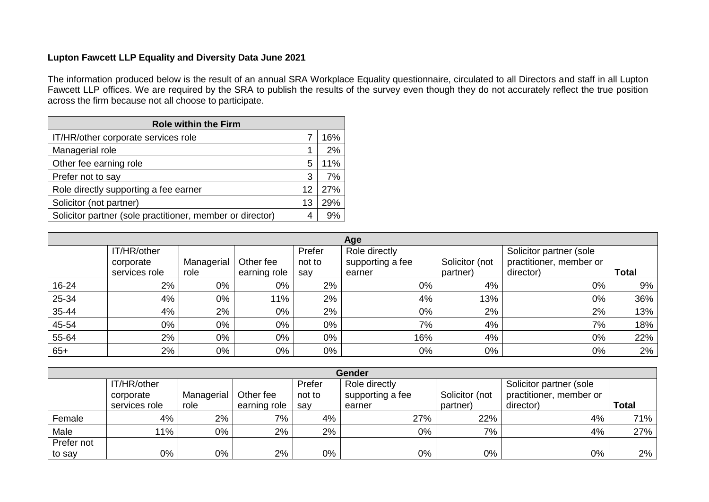## **Lupton Fawcett LLP Equality and Diversity Data June 2021**

The information produced below is the result of an annual SRA Workplace Equality questionnaire, circulated to all Directors and staff in all Lupton Fawcett LLP offices. We are required by the SRA to publish the results of the survey even though they do not accurately reflect the true position across the firm because not all choose to participate.

| <b>Role within the Firm</b>                               |    |     |  |  |  |  |  |
|-----------------------------------------------------------|----|-----|--|--|--|--|--|
| IT/HR/other corporate services role                       |    | 16% |  |  |  |  |  |
| Managerial role                                           |    | 2%  |  |  |  |  |  |
| Other fee earning role                                    | 5  | 11% |  |  |  |  |  |
| Prefer not to say                                         | 3  | 7%  |  |  |  |  |  |
| Role directly supporting a fee earner                     | 12 | 27% |  |  |  |  |  |
| Solicitor (not partner)                                   | 13 | 29% |  |  |  |  |  |
| Solicitor partner (sole practitioner, member or director) | 4  | 9%  |  |  |  |  |  |

| Age   |               |            |              |        |                  |                |                         |              |  |  |
|-------|---------------|------------|--------------|--------|------------------|----------------|-------------------------|--------------|--|--|
|       | IT/HR/other   |            |              | Prefer | Role directly    |                | Solicitor partner (sole |              |  |  |
|       | corporate     | Managerial | Other fee    | not to | supporting a fee | Solicitor (not | practitioner, member or |              |  |  |
|       | services role | role       | earning role | say    | earner           | partner)       | director)               | <b>Total</b> |  |  |
| 16-24 | 2%            | 0%         | 0%           | 2%     | 0%               | 4%             | 0%                      | 9%           |  |  |
| 25-34 | 4%            | 0%         | 11%          | 2%     | 4%               | 13%            | 0%                      | 36%          |  |  |
| 35-44 | 4%            | 2%         | 0%           | 2%     | $0\%$            | 2%             | 2%                      | 13%          |  |  |
| 45-54 | 0%            | 0%         | 0%           | 0%     | 7%               | 4%             | 7%                      | 18%          |  |  |
| 55-64 | 2%            | 0%         | 0%           | 0%     | 16%              | 4%             | 0%                      | 22%          |  |  |
| $65+$ | 2%            | 0%         | 0%           | 0%     | 0%               | 0%             | 0%                      | 2%           |  |  |

|            | <b>Gender</b> |            |              |               |                  |                         |                         |              |  |  |  |
|------------|---------------|------------|--------------|---------------|------------------|-------------------------|-------------------------|--------------|--|--|--|
|            | IT/HR/other   |            | Prefer       | Role directly |                  | Solicitor partner (sole |                         |              |  |  |  |
|            | corporate     | Managerial | Other fee    | not to        | supporting a fee | Solicitor (not          | practitioner, member or |              |  |  |  |
|            | services role | role       | earning role | say           | earner           | partner)                | director)               | <b>Total</b> |  |  |  |
| Female     | 4%            | 2%         | $7\%$        | 4%            | 27%              | 22%                     | 4%                      | 71%          |  |  |  |
| Male       | 11%           | 0%         | 2%           | 2%            | 0%               | 7%                      | 4%                      | 27%          |  |  |  |
| Prefer not |               |            |              |               |                  |                         |                         |              |  |  |  |
| to say     | 0%            | 0%         | $2\%$        | 0%            | 0%               | 0%                      | 0%                      | $2\%$        |  |  |  |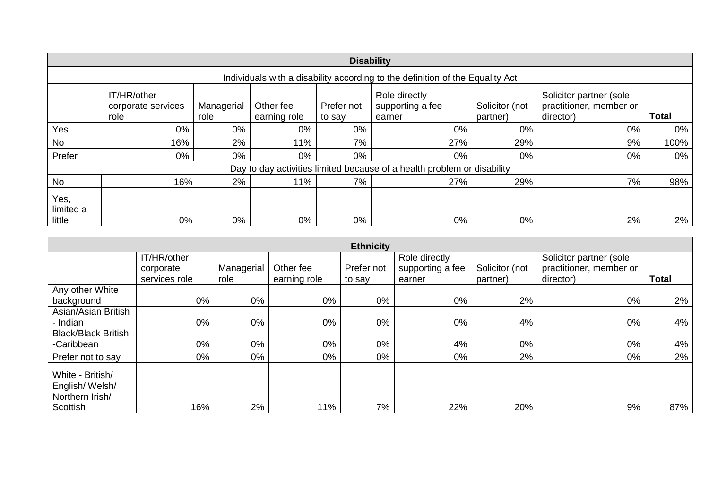|                                                                               | <b>Disability</b>                         |                    |                           |                      |                                                                         |                            |                                                                 |              |  |  |  |
|-------------------------------------------------------------------------------|-------------------------------------------|--------------------|---------------------------|----------------------|-------------------------------------------------------------------------|----------------------------|-----------------------------------------------------------------|--------------|--|--|--|
| Individuals with a disability according to the definition of the Equality Act |                                           |                    |                           |                      |                                                                         |                            |                                                                 |              |  |  |  |
|                                                                               | IT/HR/other<br>corporate services<br>role | Managerial<br>role | Other fee<br>earning role | Prefer not<br>to say | Role directly<br>supporting a fee<br>earner                             | Solicitor (not<br>partner) | Solicitor partner (sole<br>practitioner, member or<br>director) | <b>Total</b> |  |  |  |
| Yes                                                                           | 0%                                        | 0%                 | 0%                        | 0%                   | 0%                                                                      | $0\%$                      | $0\%$                                                           | 0%           |  |  |  |
| No                                                                            | 16%                                       | 2%                 | 11%                       | 7%                   | 27%                                                                     | 29%                        | 9%                                                              | 100%         |  |  |  |
| Prefer                                                                        | 0%                                        | 0%                 | 0%                        | 0%                   | 0%                                                                      | 0%                         | $0\%$                                                           | 0%           |  |  |  |
|                                                                               |                                           |                    |                           |                      | Day to day activities limited because of a health problem or disability |                            |                                                                 |              |  |  |  |
| <b>No</b>                                                                     | 16%                                       | 2%                 | 11%                       | 7%                   | 27%                                                                     | 29%                        | 7%                                                              | 98%          |  |  |  |
| Yes,<br>limited a<br>little                                                   | $0\%$                                     | 0%                 | 0%                        | 0%                   | $0\%$                                                                   | 0%                         | 2%                                                              | $2\%$        |  |  |  |

|                                                                   |               |            |              | <b>Ethnicity</b> |                  |                |                         |              |
|-------------------------------------------------------------------|---------------|------------|--------------|------------------|------------------|----------------|-------------------------|--------------|
|                                                                   | IT/HR/other   |            |              |                  | Role directly    |                | Solicitor partner (sole |              |
|                                                                   | corporate     | Managerial | Other fee    | Prefer not       | supporting a fee | Solicitor (not | practitioner, member or |              |
|                                                                   | services role | role       | earning role | to say           | earner           | partner)       | director)               | <b>Total</b> |
| Any other White                                                   |               |            |              |                  |                  |                |                         |              |
| background                                                        | 0%            | 0%         | 0%           | 0%               | 0%               | 2%             | 0%                      | $2\%$        |
| Asian/Asian British                                               |               |            |              |                  |                  |                |                         |              |
| - Indian                                                          | 0%            | 0%         | 0%           | 0%               | 0%               | 4%             | 0%                      | 4%           |
| <b>Black/Black British</b>                                        |               |            |              |                  |                  |                |                         |              |
| -Caribbean                                                        | 0%            | 0%         | 0%           | 0%               | 4%               | 0%             | 0%                      | 4%           |
| Prefer not to say                                                 | 0%            | 0%         | 0%           | $0\%$            | 0%               | 2%             | 0%                      | $2\%$        |
| White - British/<br>English/Welsh/<br>Northern Irish/<br>Scottish | 16%           | 2%         | 11%          | 7%               | 22%              | 20%            | 9%                      | 87%          |